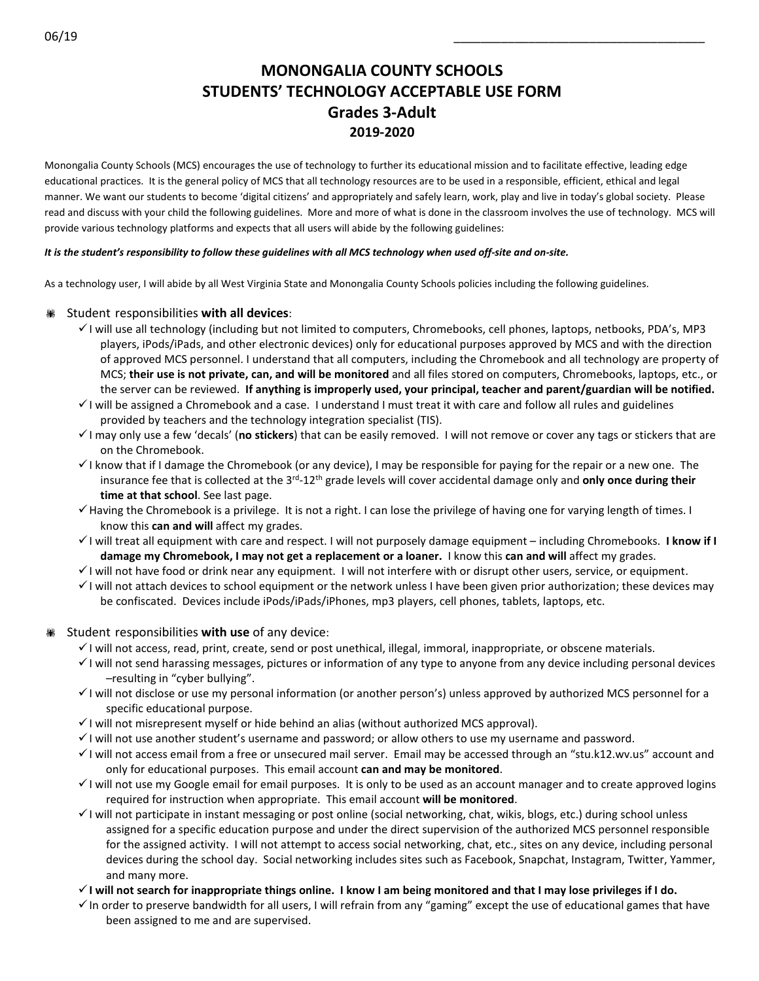# **MONONGALIA COUNTY SCHOOLS STUDENTS' TECHNOLOGY ACCEPTABLE USE FORM Grades 3-Adult 2019-2020**

Monongalia County Schools (MCS) encourages the use of technology to further its educational mission and to facilitate effective, leading edge educational practices. It is the general policy of MCS that all technology resources are to be used in a responsible, efficient, ethical and legal manner. We want our students to become 'digital citizens' and appropriately and safely learn, work, play and live in today's global society. Please read and discuss with your child the following guidelines. More and more of what is done in the classroom involves the use of technology. MCS will provide various technology platforms and expects that all users will abide by the following guidelines:

#### *It is the student's responsibility to follow these guidelines with all MCS technology when used off-site and on-site.*

As a technology user, I will abide by all West Virginia State and Monongalia County Schools policies including the following guidelines.

## Student responsibilities **with all devices**:

- $\checkmark$  I will use all technology (including but not limited to computers, Chromebooks, cell phones, laptops, netbooks, PDA's, MP3 players, iPods/iPads, and other electronic devices) only for educational purposes approved by MCS and with the direction of approved MCS personnel. I understand that all computers, including the Chromebook and all technology are property of MCS; **their use is not private, can, and will be monitored** and all files stored on computers, Chromebooks, laptops, etc., or the server can be reviewed. **If anything is improperly used, your principal, teacher and parent/guardian will be notified.**
- $\checkmark$  I will be assigned a Chromebook and a case. I understand I must treat it with care and follow all rules and guidelines provided by teachers and the technology integration specialist (TIS).
- I may only use a few 'decals' (**no stickers**) that can be easily removed. I will not remove or cover any tags or stickers that are on the Chromebook.
- $\checkmark$  I know that if I damage the Chromebook (or any device), I may be responsible for paying for the repair or a new one. The insurance fee that is collected at the 3rd-12th grade levels will cover accidental damage only and **only once during their time at that school**. See last page.
- Having the Chromebook is a privilege. It is not a right. I can lose the privilege of having one for varying length of times. I know this **can and will** affect my grades.
- I will treat all equipment with care and respect. I will not purposely damage equipment including Chromebooks. **I know if I damage my Chromebook, I may not get a replacement or a loaner.** I know this **can and will** affect my grades.
- $\checkmark$  I will not have food or drink near any equipment. I will not interfere with or disrupt other users, service, or equipment.
- $\checkmark$  I will not attach devices to school equipment or the network unless I have been given prior authorization; these devices may be confiscated. Devices include iPods/iPads/iPhones, mp3 players, cell phones, tablets, laptops, etc.

## Student responsibilities **with use** of any device:

- $\checkmark$  I will not access, read, print, create, send or post unethical, illegal, immoral, inappropriate, or obscene materials.
- $\checkmark$  I will not send harassing messages, pictures or information of any type to anyone from any device including personal devices –resulting in "cyber bullying".
- $\checkmark$  I will not disclose or use my personal information (or another person's) unless approved by authorized MCS personnel for a specific educational purpose.
- $\checkmark$  I will not misrepresent myself or hide behind an alias (without authorized MCS approval).
- $\checkmark$  I will not use another student's username and password; or allow others to use my username and password.
- I will not access email from a free or unsecured mail server. Email may be accessed through an "stu.k12.wv.us" account and only for educational purposes. This email account **can and may be monitored**.
- $\checkmark$  I will not use my Google email for email purposes. It is only to be used as an account manager and to create approved logins required for instruction when appropriate. This email account **will be monitored**.
- $\checkmark$  I will not participate in instant messaging or post online (social networking, chat, wikis, blogs, etc.) during school unless assigned for a specific education purpose and under the direct supervision of the authorized MCS personnel responsible for the assigned activity. I will not attempt to access social networking, chat, etc., sites on any device, including personal devices during the school day. Social networking includes sites such as Facebook, Snapchat, Instagram, Twitter, Yammer, and many more.
- **I will not search for inappropriate things online. I know I am being monitored and that I may lose privileges if I do.**
- $\checkmark$  In order to preserve bandwidth for all users, I will refrain from any "gaming" except the use of educational games that have been assigned to me and are supervised.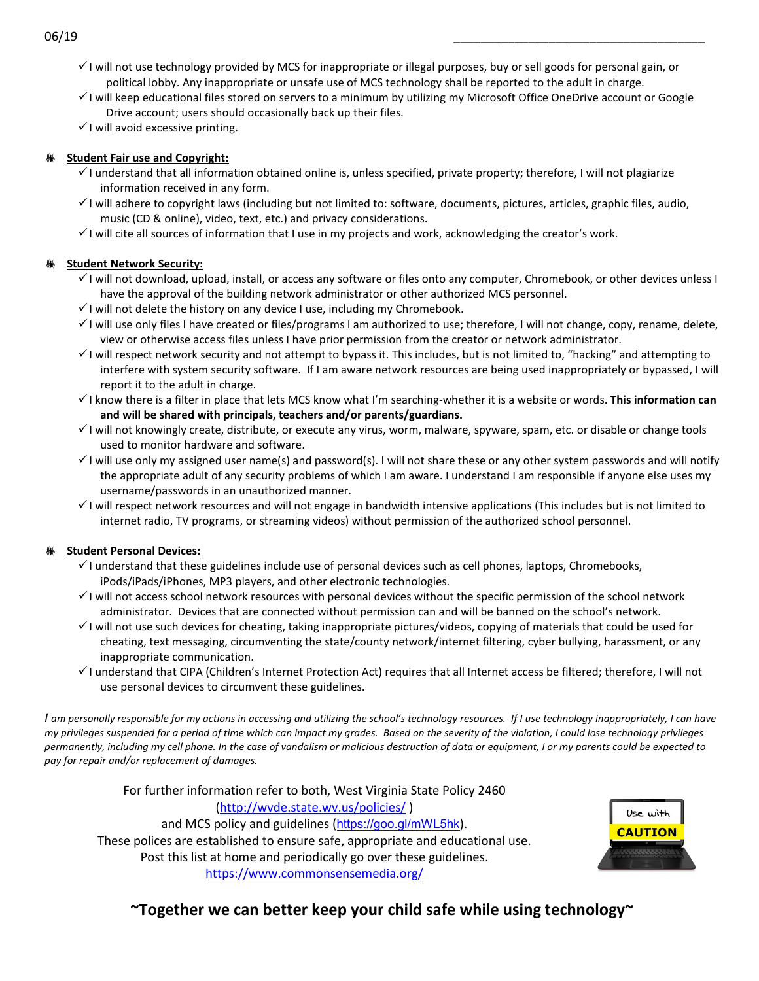- $\checkmark$  I will not use technology provided by MCS for inappropriate or illegal purposes, buy or sell goods for personal gain, or political lobby. Any inappropriate or unsafe use of MCS technology shall be reported to the adult in charge.
- $\checkmark$  I will keep educational files stored on servers to a minimum by utilizing my Microsoft Office OneDrive account or Google Drive account; users should occasionally back up their files.
- $\checkmark$  I will avoid excessive printing.

## **Student Fair use and Copyright:**

- $\checkmark$  I understand that all information obtained online is, unless specified, private property; therefore, I will not plagiarize information received in any form.
- I will adhere to copyright laws (including but not limited to: software, documents, pictures, articles, graphic files, audio, music (CD & online), video, text, etc.) and privacy considerations.
- $\checkmark$  I will cite all sources of information that I use in my projects and work, acknowledging the creator's work.

## **Student Network Security:**

- I will not download, upload, install, or access any software or files onto any computer, Chromebook, or other devices unless I have the approval of the building network administrator or other authorized MCS personnel.
- $\checkmark$  I will not delete the history on any device I use, including my Chromebook.
- $\checkmark$  I will use only files I have created or files/programs I am authorized to use; therefore, I will not change, copy, rename, delete, view or otherwise access files unless I have prior permission from the creator or network administrator.
- $\checkmark$  I will respect network security and not attempt to bypass it. This includes, but is not limited to, "hacking" and attempting to interfere with system security software. If I am aware network resources are being used inappropriately or bypassed, I will report it to the adult in charge.
- I know there is a filter in place that lets MCS know what I'm searching-whether it is a website or words. **This information can and will be shared with principals, teachers and/or parents/guardians.**
- $\checkmark$  I will not knowingly create, distribute, or execute any virus, worm, malware, spyware, spam, etc. or disable or change tools used to monitor hardware and software.
- $\checkmark$  I will use only my assigned user name(s) and password(s). I will not share these or any other system passwords and will notify the appropriate adult of any security problems of which I am aware. I understand I am responsible if anyone else uses my username/passwords in an unauthorized manner.
- $\checkmark$  I will respect network resources and will not engage in bandwidth intensive applications (This includes but is not limited to internet radio, TV programs, or streaming videos) without permission of the authorized school personnel.

## **Student Personal Devices:**

- $\checkmark$  I understand that these guidelines include use of personal devices such as cell phones, laptops, Chromebooks, iPods/iPads/iPhones, MP3 players, and other electronic technologies.
- $\checkmark$  I will not access school network resources with personal devices without the specific permission of the school network administrator. Devices that are connected without permission can and will be banned on the school's network.
- $\checkmark$  I will not use such devices for cheating, taking inappropriate pictures/videos, copying of materials that could be used for cheating, text messaging, circumventing the state/county network/internet filtering, cyber bullying, harassment, or any inappropriate communication.
- I understand that CIPA (Children's Internet Protection Act) requires that all Internet access be filtered; therefore, I will not use personal devices to circumvent these guidelines.

*I am personally responsible for my actions in accessing and utilizing the school's technology resources. If I use technology inappropriately, I can have my privileges suspended for a period of time which can impact my grades. Based on the severity of the violation, I could lose technology privileges permanently, including my cell phone. In the case of vandalism or malicious destruction of data or equipment, I or my parents could be expected to pay for repair and/or replacement of damages.*

For further information refer to both, West Virginia State Policy 2460 [\(http://wvde.state.wv.us/policies/](http://wvde.state.wv.us/policies/) ) and MCS policy and guidelines (<https://goo.gl/mWL5hk>). These polices are established to ensure safe, appropriate and educational use. Post this list at home and periodically go over these guidelines. <https://www.commonsensemedia.org/>



**~Together we can better keep your child safe while using technology~**